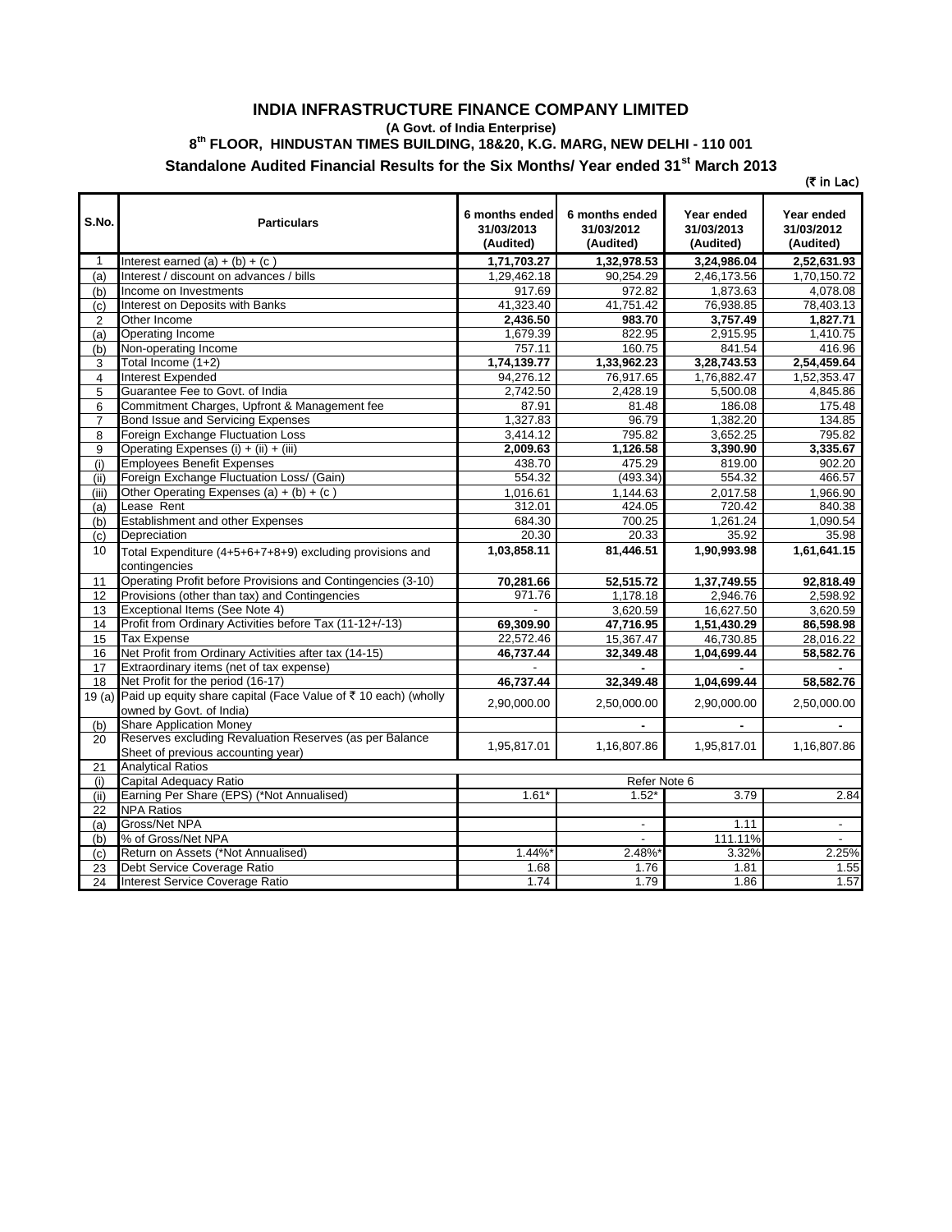## **INDIA INFRASTRUCTURE FINANCE COMPANY LIMITED (A Govt. of India Enterprise) 8 th FLOOR, HINDUSTAN TIMES BUILDING, 18&20, K.G. MARG, NEW DELHI - 110 001 Standalone Audited Financial Results for the Six Months/ Year ended 31st March 2013**

 $($ ₹ in Lac)

| S.No.           | <b>Particulars</b>                                                        | 6 months ended | 6 months ended           | Year ended  | Year ended                |
|-----------------|---------------------------------------------------------------------------|----------------|--------------------------|-------------|---------------------------|
|                 |                                                                           | 31/03/2013     | 31/03/2012               | 31/03/2013  | 31/03/2012                |
|                 |                                                                           | (Audited)      | (Audited)                | (Audited)   | (Audited)                 |
| 1               | Interest earned $(a) + (b) + (c)$                                         | 1,71,703.27    | 1,32,978.53              | 3,24,986.04 | 2,52,631.93               |
| (a)             | Interest / discount on advances / bills                                   | 1,29,462.18    | 90,254.29                | 2,46,173.56 | 1,70,150.72               |
| (b)             | Income on Investments                                                     | 917.69         | 972.82                   | 1,873.63    | 4,078.08                  |
| (c)             | Interest on Deposits with Banks                                           | 41,323.40      | 41,751.42                | 76,938.85   | 78,403.13                 |
| $\overline{2}$  | Other Income                                                              | 2,436.50       | 983.70                   | 3,757.49    | 1,827.71                  |
| (a)             | <b>Operating Income</b>                                                   | 1,679.39       | 822.95                   | 2,915.95    | 1,410.75                  |
| (b)             | Non-operating Income                                                      | 757.11         | 160.75                   | 841.54      | 416.96                    |
| 3               | Total Income (1+2)                                                        | 1,74,139.77    | 1,33,962.23              | 3,28,743.53 | 2,54,459.64               |
| $\overline{4}$  | <b>Interest Expended</b>                                                  | 94,276.12      | 76,917.65                | 1,76,882.47 | 1,52,353.47               |
| 5               | Guarantee Fee to Govt. of India                                           | 2,742.50       | 2,428.19                 | 5,500.08    | 4,845.86                  |
| 6               | Commitment Charges, Upfront & Management fee                              | 87.91          | 81.48                    | 186.08      | 175.48                    |
| $\overline{7}$  | Bond Issue and Servicing Expenses                                         | 1.327.83       | 96.79                    | 1.382.20    | 134.85                    |
| 8               | Foreign Exchange Fluctuation Loss                                         | 3,414.12       | 795.82                   | 3,652.25    | 795.82                    |
| 9               | Operating Expenses (i) + (ii) + (iii)                                     | 2,009.63       | 1,126.58                 | 3,390.90    | 3,335.67                  |
| (i)             | <b>Employees Benefit Expenses</b>                                         | 438.70         | 475.29                   | 819.00      | 902.20                    |
| (ii)            | Foreign Exchange Fluctuation Loss/ (Gain)                                 | 554.32         | (493.34)                 | 554.32      | 466.57                    |
| (iii)           | Other Operating Expenses (a) + (b) + (c)                                  | 1,016.61       | 1,144.63                 | 2.017.58    | 1.966.90                  |
| (a)             | Lease Rent                                                                | 312.01         | 424.05                   | 720.42      | 840.38                    |
| (b)             | Establishment and other Expenses                                          | 684.30         | 700.25                   | 1,261.24    | 1,090.54                  |
| (c)             | Depreciation                                                              | 20.30          | 20.33                    | 35.92       | 35.98                     |
| 10              | Total Expenditure (4+5+6+7+8+9) excluding provisions and<br>contingencies | 1,03,858.11    | 81,446.51                | 1,90,993.98 | 1,61,641.15               |
| 11              | Operating Profit before Provisions and Contingencies (3-10)               | 70,281.66      | 52,515.72                | 1,37,749.55 | 92,818.49                 |
| 12              | Provisions (other than tax) and Contingencies                             | 971.76         | 1,178.18                 | 2,946.76    | 2,598.92                  |
| 13              | Exceptional Items (See Note 4)                                            |                | 3,620.59                 | 16,627.50   | 3,620.59                  |
| 14              | Profit from Ordinary Activities before Tax (11-12+/-13)                   | 69,309.90      | 47,716.95                | 1,51,430.29 | 86,598.98                 |
| 15              | <b>Tax Expense</b>                                                        | 22,572.46      | 15,367.47                | 46,730.85   | 28,016.22                 |
| 16              | Net Profit from Ordinary Activities after tax (14-15)                     | 46,737.44      | 32,349.48                | 1,04,699.44 | 58,582.76                 |
| 17              | Extraordinary items (net of tax expense)                                  |                |                          |             |                           |
| 18              | Net Profit for the period (16-17)                                         | 46,737.44      | 32,349.48                | 1,04,699.44 | 58,582.76                 |
| 19(a)           | Paid up equity share capital (Face Value of ₹ 10 each) (wholly            |                |                          |             |                           |
|                 | owned by Govt. of India)                                                  | 2,90,000.00    | 2,50,000.00              | 2,90,000.00 | 2,50,000.00               |
| (b)             | <b>Share Application Money</b>                                            |                |                          |             |                           |
| 20              | Reserves excluding Revaluation Reserves (as per Balance                   |                |                          |             |                           |
|                 | Sheet of previous accounting year)                                        | 1,95,817.01    | 1,16,807.86              | 1,95,817.01 | 1,16,807.86               |
| 21              | <b>Analytical Ratios</b>                                                  |                |                          |             |                           |
| (i)             | Capital Adequacy Ratio                                                    |                | Refer Note 6             |             |                           |
| (ii)            | Earning Per Share (EPS) (*Not Annualised)                                 | $1.61*$        | $1.52*$                  | 3.79        | 2.84                      |
| $\overline{22}$ | <b>NPA Ratios</b>                                                         |                |                          |             |                           |
| (a)             | Gross/Net NPA                                                             |                | $\overline{\phantom{a}}$ | 1.11        | $\overline{\phantom{a}}$  |
| (b)             | % of Gross/Net NPA                                                        |                | $\blacksquare$           | 111.11%     | $\mathbb{Z}^{\mathbb{Z}}$ |
| (c)             | Return on Assets (*Not Annualised)                                        | 1.44%*         | 2.48%*                   | 3.32%       | 2.25%                     |
| 23              | Debt Service Coverage Ratio                                               | 1.68           | 1.76                     | 1.81        | 1.55                      |
| 24              | Interest Service Coverage Ratio                                           | 1.74           | 1.79                     | 1.86        | 1.57                      |